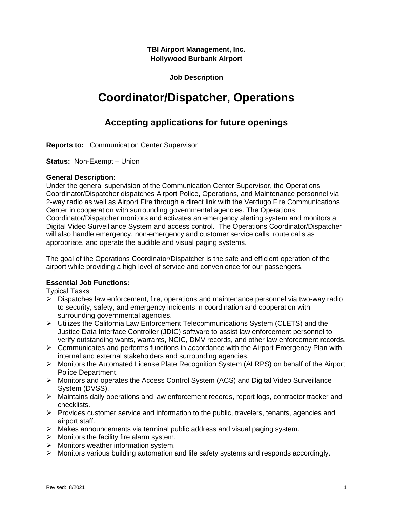**TBI Airport Management, Inc. Hollywood Burbank Airport**

**Job Description**

# **Coordinator/Dispatcher, Operations**

# **Accepting applications for future openings**

**Reports to:** Communication Center Supervisor

**Status:** Non-Exempt – Union

# **General Description:**

Under the general supervision of the Communication Center Supervisor, the Operations Coordinator/Dispatcher dispatches Airport Police, Operations, and Maintenance personnel via 2-way radio as well as Airport Fire through a direct link with the Verdugo Fire Communications Center in cooperation with surrounding governmental agencies. The Operations Coordinator/Dispatcher monitors and activates an emergency alerting system and monitors a Digital Video Surveillance System and access control. The Operations Coordinator/Dispatcher will also handle emergency, non-emergency and customer service calls, route calls as appropriate, and operate the audible and visual paging systems.

The goal of the Operations Coordinator/Dispatcher is the safe and efficient operation of the airport while providing a high level of service and convenience for our passengers.

# **Essential Job Functions:**

Typical Tasks

- $\triangleright$  Dispatches law enforcement, fire, operations and maintenance personnel via two-way radio to security, safety, and emergency incidents in coordination and cooperation with surrounding governmental agencies.
- ➢ Utilizes the California Law Enforcement Telecommunications System (CLETS) and the Justice Data Interface Controller (JDIC) software to assist law enforcement personnel to verify outstanding wants, warrants, NCIC, DMV records, and other law enforcement records.
- $\triangleright$  Communicates and performs functions in accordance with the Airport Emergency Plan with internal and external stakeholders and surrounding agencies.
- ➢ Monitors the Automated License Plate Recognition System (ALRPS) on behalf of the Airport Police Department.
- ➢ Monitors and operates the Access Control System (ACS) and Digital Video Surveillance System (DVSS).
- ➢ Maintains daily operations and law enforcement records, report logs, contractor tracker and checklists.
- ➢ Provides customer service and information to the public, travelers, tenants, agencies and airport staff.
- $\triangleright$  Makes announcements via terminal public address and visual paging system.
- $\triangleright$  Monitors the facility fire alarm system.
- ➢ Monitors weather information system.
- $\triangleright$  Monitors various building automation and life safety systems and responds accordingly.